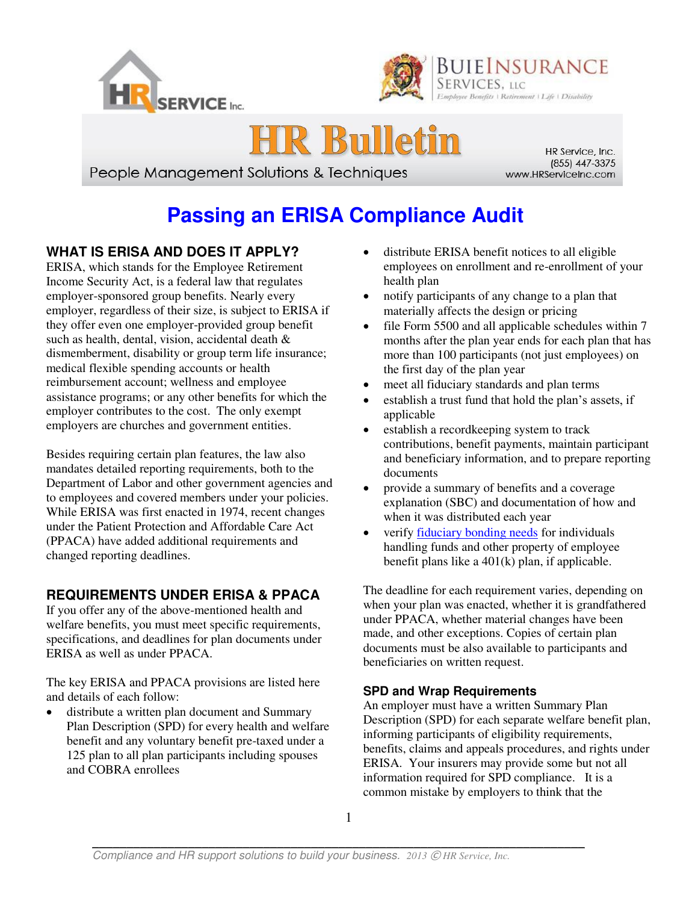





People Management Solutions & Techniques

HR Service, Inc. (855) 447-3375 www.HRServiceInc.com

# **Passing an ERISA Compliance Audit**

## **WHAT IS ERISA AND DOES IT APPLY?**

Ī

ERISA, which stands for the Employee Retirement Income Security Act, is a federal law that regulates employer-sponsored group benefits. Nearly every employer, regardless of their size, is subject to ERISA if they offer even one employer-provided group benefit such as health, dental, vision, accidental death & dismemberment, disability or group term life insurance; medical flexible spending accounts or health reimbursement account; wellness and employee assistance programs; or any other benefits for which the employer contributes to the cost. The only exempt employers are churches and government entities.

Besides requiring certain plan features, the law also mandates detailed reporting requirements, both to the Department of Labor and other government agencies and to employees and covered members under your policies. While ERISA was first enacted in 1974, recent changes under the Patient Protection and Affordable Care Act (PPACA) have added additional requirements and changed reporting deadlines.

## **REQUIREMENTS UNDER ERISA & PPACA**

If you offer any of the above-mentioned health and welfare benefits, you must meet specific requirements, specifications, and deadlines for plan documents under ERISA as well as under PPACA.

The key ERISA and PPACA provisions are listed here and details of each follow:

 distribute a written plan document and Summary Plan Description (SPD) for every health and welfare benefit and any voluntary benefit pre-taxed under a 125 plan to all plan participants including spouses and COBRA enrollees

- distribute ERISA benefit notices to all eligible employees on enrollment and re-enrollment of your health plan
- notify participants of any change to a plan that materially affects the design or pricing
- file Form 5500 and all applicable schedules within 7 months after the plan year ends for each plan that has more than 100 participants (not just employees) on the first day of the plan year
- meet all fiduciary standards and plan terms
- establish a trust fund that hold the plan's assets, if applicable
- establish a record keeping system to track contributions, benefit payments, maintain participant and beneficiary information, and to prepare reporting documents
- provide a summary of benefits and a coverage explanation (SBC) and documentation of how and when it was distributed each year
- verif[y fiduciary bonding needs](http://www.dol.gov/ebsa/regs/fab2008-4.html) for individuals handling funds and other property of employee benefit plans like a 401(k) plan, if applicable.

The deadline for each requirement varies, depending on when your plan was enacted, whether it is grandfathered under PPACA, whether material changes have been made, and other exceptions. Copies of certain plan documents must be also available to participants and beneficiaries on written request.

## **SPD and Wrap Requirements**

An employer must have a written Summary Plan Description (SPD) for each separate welfare benefit plan, informing participants of eligibility requirements, benefits, claims and appeals procedures, and rights under ERISA. Your insurers may provide some but not all information required for SPD compliance. It is a common mistake by employers to think that the

 $\mathcal{L}_\mathcal{L} = \mathcal{L}_\mathcal{L} = \mathcal{L}_\mathcal{L} = \mathcal{L}_\mathcal{L} = \mathcal{L}_\mathcal{L} = \mathcal{L}_\mathcal{L} = \mathcal{L}_\mathcal{L} = \mathcal{L}_\mathcal{L} = \mathcal{L}_\mathcal{L} = \mathcal{L}_\mathcal{L} = \mathcal{L}_\mathcal{L} = \mathcal{L}_\mathcal{L} = \mathcal{L}_\mathcal{L} = \mathcal{L}_\mathcal{L} = \mathcal{L}_\mathcal{L} = \mathcal{L}_\mathcal{L} = \mathcal{L}_\mathcal{L}$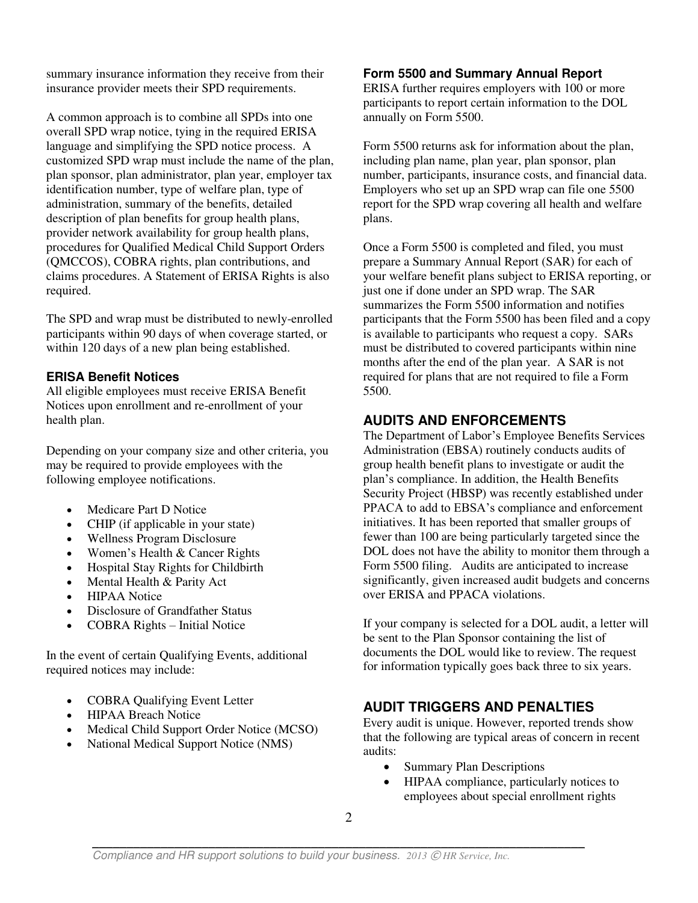summary insurance information they receive from their insurance provider meets their SPD requirements.

A common approach is to combine all SPDs into one overall SPD wrap notice, tying in the required ERISA language and simplifying the SPD notice process. A customized SPD wrap must include the name of the plan, plan sponsor, plan administrator, plan year, employer tax identification number, type of welfare plan, type of administration, summary of the benefits, detailed description of plan benefits for group health plans, provider network availability for group health plans, procedures for Qualified Medical Child Support Orders (QMCCOS), COBRA rights, plan contributions, and claims procedures. A Statement of ERISA Rights is also required.

The SPD and wrap must be distributed to newly-enrolled participants within 90 days of when coverage started, or within 120 days of a new plan being established.

#### **ERISA Benefit Notices**

All eligible employees must receive ERISA Benefit Notices upon enrollment and re-enrollment of your health plan.

Depending on your company size and other criteria, you may be required to provide employees with the following employee notifications.

- Medicare Part D Notice
- CHIP (if applicable in your state)
- Wellness Program Disclosure
- Women's Health & Cancer Rights
- Hospital Stay Rights for Childbirth
- Mental Health & Parity Act
- HIPAA Notice
- Disclosure of Grandfather Status
- COBRA Rights Initial Notice

In the event of certain Qualifying Events, additional required notices may include:

- COBRA Qualifying Event Letter
- HIPAA Breach Notice
- Medical Child Support Order Notice (MCSO)
- National Medical Support Notice (NMS)

#### **Form 5500 and Summary Annual Report**

ERISA further requires employers with 100 or more participants to report certain information to the DOL annually on Form 5500.

Form 5500 returns ask for information about the plan, including plan name, plan year, plan sponsor, plan number, participants, insurance costs, and financial data. Employers who set up an SPD wrap can file one 5500 report for the SPD wrap covering all health and welfare plans.

Once a Form 5500 is completed and filed, you must prepare a Summary Annual Report (SAR) for each of your welfare benefit plans subject to ERISA reporting, or just one if done under an SPD wrap. The SAR summarizes the Form 5500 information and notifies participants that the Form 5500 has been filed and a copy is available to participants who request a copy. SARs must be distributed to covered participants within nine months after the end of the plan year. A SAR is not required for plans that are not required to file a Form 5500.

### **AUDITS AND ENFORCEMENTS**

The Department of Labor's Employee Benefits Services Administration (EBSA) routinely conducts audits of group health benefit plans to investigate or audit the plan's compliance. In addition, the Health Benefits Security Project (HBSP) was recently established under PPACA to add to EBSA's compliance and enforcement initiatives. It has been reported that smaller groups of fewer than 100 are being particularly targeted since the DOL does not have the ability to monitor them through a Form 5500 filing. Audits are anticipated to increase significantly, given increased audit budgets and concerns over ERISA and PPACA violations.

If your company is selected for a DOL audit, a letter will be sent to the Plan Sponsor containing the list of documents the DOL would like to review. The request for information typically goes back three to six years.

## **AUDIT TRIGGERS AND PENALTIES**

Every audit is unique. However, reported trends show that the following are typical areas of concern in recent audits:

- Summary Plan Descriptions
- HIPAA compliance, particularly notices to employees about special enrollment rights

 $\mathcal{L}_\mathcal{L} = \mathcal{L}_\mathcal{L} = \mathcal{L}_\mathcal{L} = \mathcal{L}_\mathcal{L} = \mathcal{L}_\mathcal{L} = \mathcal{L}_\mathcal{L} = \mathcal{L}_\mathcal{L} = \mathcal{L}_\mathcal{L} = \mathcal{L}_\mathcal{L} = \mathcal{L}_\mathcal{L} = \mathcal{L}_\mathcal{L} = \mathcal{L}_\mathcal{L} = \mathcal{L}_\mathcal{L} = \mathcal{L}_\mathcal{L} = \mathcal{L}_\mathcal{L} = \mathcal{L}_\mathcal{L} = \mathcal{L}_\mathcal{L}$